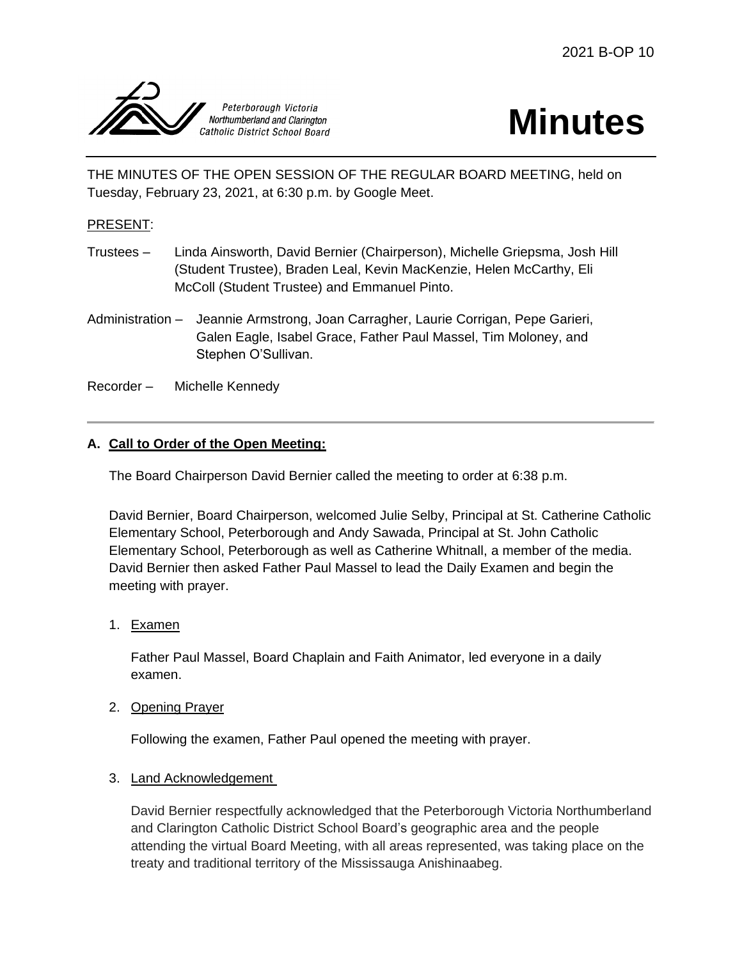

# **Minutes**

THE MINUTES OF THE OPEN SESSION OF THE REGULAR BOARD MEETING, held on Tuesday, February 23, 2021, at 6:30 p.m. by Google Meet.

# PRESENT:

- Trustees Linda Ainsworth, David Bernier (Chairperson), Michelle Griepsma, Josh Hill (Student Trustee), Braden Leal, Kevin MacKenzie, Helen McCarthy, Eli McColl (Student Trustee) and Emmanuel Pinto.
- Administration Jeannie Armstrong, Joan Carragher, Laurie Corrigan, Pepe Garieri, Galen Eagle, Isabel Grace, Father Paul Massel, Tim Moloney, and Stephen O'Sullivan.
- Recorder Michelle Kennedy

## **A. Call to Order of the Open Meeting:**

The Board Chairperson David Bernier called the meeting to order at 6:38 p.m.

David Bernier, Board Chairperson, welcomed Julie Selby, Principal at St. Catherine Catholic Elementary School, Peterborough and Andy Sawada, Principal at St. John Catholic Elementary School, Peterborough as well as Catherine Whitnall, a member of the media. David Bernier then asked Father Paul Massel to lead the Daily Examen and begin the meeting with prayer.

1. Examen

Father Paul Massel, Board Chaplain and Faith Animator, led everyone in a daily examen.

2. Opening Prayer

Following the examen, Father Paul opened the meeting with prayer.

#### 3. Land Acknowledgement

David Bernier respectfully acknowledged that the Peterborough Victoria Northumberland and Clarington Catholic District School Board's geographic area and the people attending the virtual Board Meeting, with all areas represented, was taking place on the treaty and traditional territory of the Mississauga Anishinaabeg.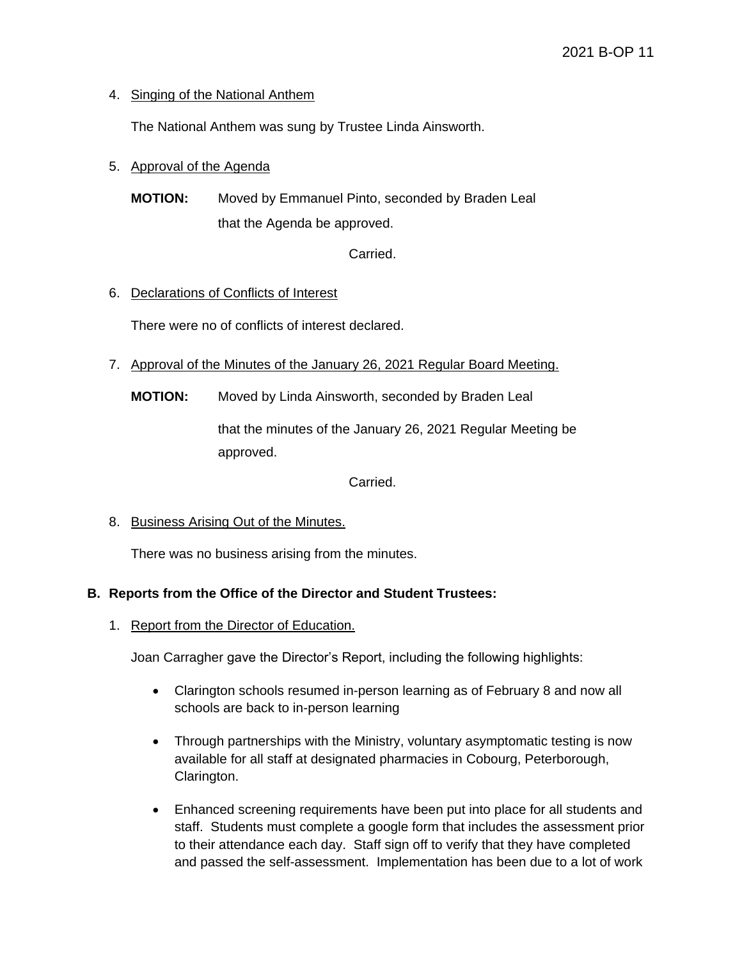## 4. Singing of the National Anthem

The National Anthem was sung by Trustee Linda Ainsworth.

## 5. Approval of the Agenda

**MOTION:** Moved by Emmanuel Pinto, seconded by Braden Leal that the Agenda be approved.

Carried.

## 6. Declarations of Conflicts of Interest

There were no of conflicts of interest declared.

- 7. Approval of the Minutes of the January 26, 2021 Regular Board Meeting.
	- **MOTION:** Moved by Linda Ainsworth, seconded by Braden Leal

that the minutes of the January 26, 2021 Regular Meeting be approved.

Carried.

8. Business Arising Out of the Minutes.

There was no business arising from the minutes.

#### **B. Reports from the Office of the Director and Student Trustees:**

1. Report from the Director of Education.

Joan Carragher gave the Director's Report, including the following highlights:

- Clarington schools resumed in-person learning as of February 8 and now all schools are back to in-person learning
- Through partnerships with the Ministry, voluntary asymptomatic testing is now available for all staff at designated pharmacies in Cobourg, Peterborough, Clarington.
- Enhanced screening requirements have been put into place for all students and staff. Students must complete a google form that includes the assessment prior to their attendance each day. Staff sign off to verify that they have completed and passed the self-assessment. Implementation has been due to a lot of work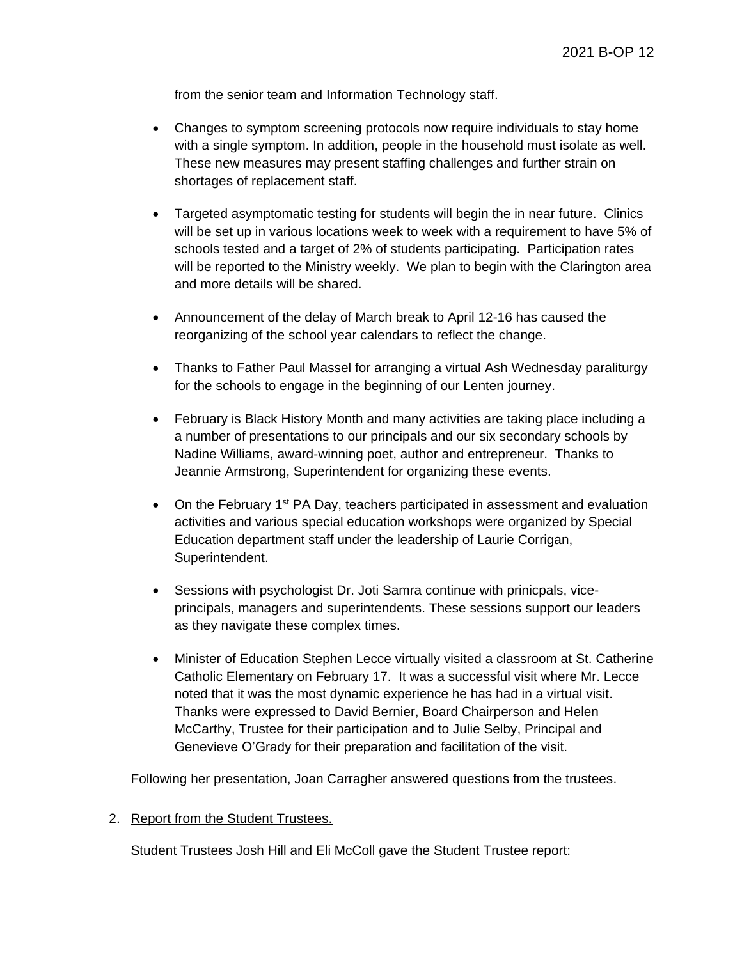from the senior team and Information Technology staff.

- Changes to symptom screening protocols now require individuals to stay home with a single symptom. In addition, people in the household must isolate as well. These new measures may present staffing challenges and further strain on shortages of replacement staff.
- Targeted asymptomatic testing for students will begin the in near future. Clinics will be set up in various locations week to week with a requirement to have 5% of schools tested and a target of 2% of students participating. Participation rates will be reported to the Ministry weekly. We plan to begin with the Clarington area and more details will be shared.
- Announcement of the delay of March break to April 12-16 has caused the reorganizing of the school year calendars to reflect the change.
- Thanks to Father Paul Massel for arranging a virtual Ash Wednesday paraliturgy for the schools to engage in the beginning of our Lenten journey.
- February is Black History Month and many activities are taking place including a a number of presentations to our principals and our six secondary schools by Nadine Williams, award-winning poet, author and entrepreneur. Thanks to Jeannie Armstrong, Superintendent for organizing these events.
- On the February  $1^{st}$  PA Day, teachers participated in assessment and evaluation activities and various special education workshops were organized by Special Education department staff under the leadership of Laurie Corrigan, Superintendent.
- Sessions with psychologist Dr. Joti Samra continue with prinicpals, viceprincipals, managers and superintendents. These sessions support our leaders as they navigate these complex times.
- Minister of Education Stephen Lecce virtually visited a classroom at St. Catherine Catholic Elementary on February 17. It was a successful visit where Mr. Lecce noted that it was the most dynamic experience he has had in a virtual visit. Thanks were expressed to David Bernier, Board Chairperson and Helen McCarthy, Trustee for their participation and to Julie Selby, Principal and Genevieve O'Grady for their preparation and facilitation of the visit.

Following her presentation, Joan Carragher answered questions from the trustees.

#### 2. Report from the Student Trustees.

Student Trustees Josh Hill and Eli McColl gave the Student Trustee report: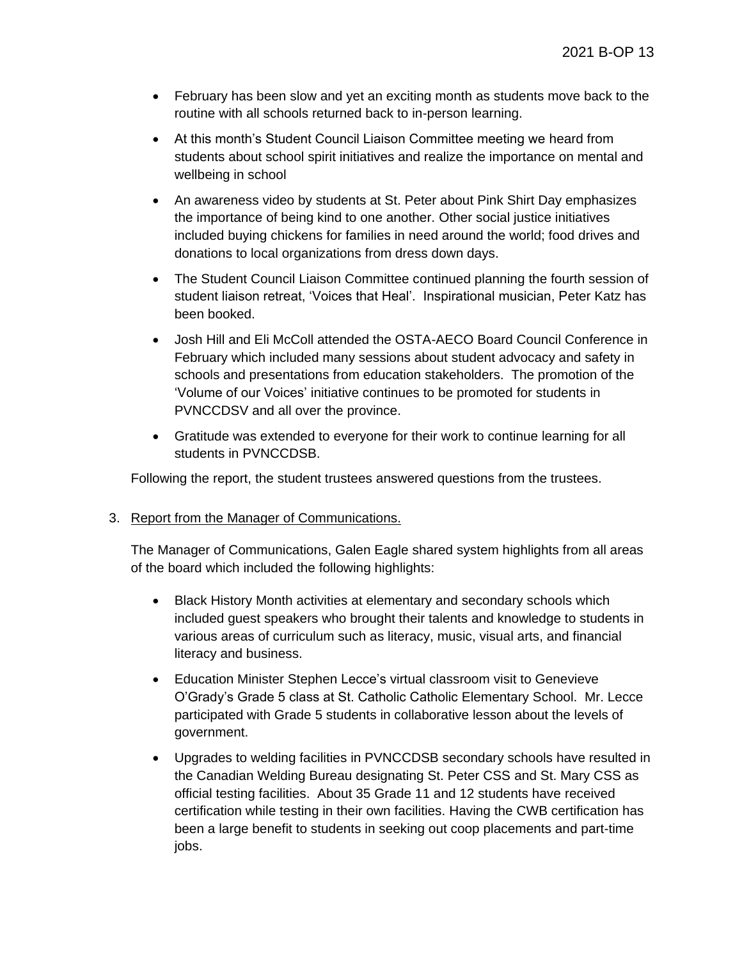- February has been slow and yet an exciting month as students move back to the routine with all schools returned back to in-person learning.
- At this month's Student Council Liaison Committee meeting we heard from students about school spirit initiatives and realize the importance on mental and wellbeing in school
- An awareness video by students at St. Peter about Pink Shirt Day emphasizes the importance of being kind to one another. Other social justice initiatives included buying chickens for families in need around the world; food drives and donations to local organizations from dress down days.
- The Student Council Liaison Committee continued planning the fourth session of student liaison retreat, 'Voices that Heal'. Inspirational musician, Peter Katz has been booked.
- Josh Hill and Eli McColl attended the OSTA-AECO Board Council Conference in February which included many sessions about student advocacy and safety in schools and presentations from education stakeholders. The promotion of the 'Volume of our Voices' initiative continues to be promoted for students in PVNCCDSV and all over the province.
- Gratitude was extended to everyone for their work to continue learning for all students in PVNCCDSB.

Following the report, the student trustees answered questions from the trustees.

#### 3. Report from the Manager of Communications.

The Manager of Communications, Galen Eagle shared system highlights from all areas of the board which included the following highlights:

- Black History Month activities at elementary and secondary schools which included guest speakers who brought their talents and knowledge to students in various areas of curriculum such as literacy, music, visual arts, and financial literacy and business.
- Education Minister Stephen Lecce's virtual classroom visit to Genevieve O'Grady's Grade 5 class at St. Catholic Catholic Elementary School. Mr. Lecce participated with Grade 5 students in collaborative lesson about the levels of government.
- Upgrades to welding facilities in PVNCCDSB secondary schools have resulted in the Canadian Welding Bureau designating St. Peter CSS and St. Mary CSS as official testing facilities. About 35 Grade 11 and 12 students have received certification while testing in their own facilities. Having the CWB certification has been a large benefit to students in seeking out coop placements and part-time jobs.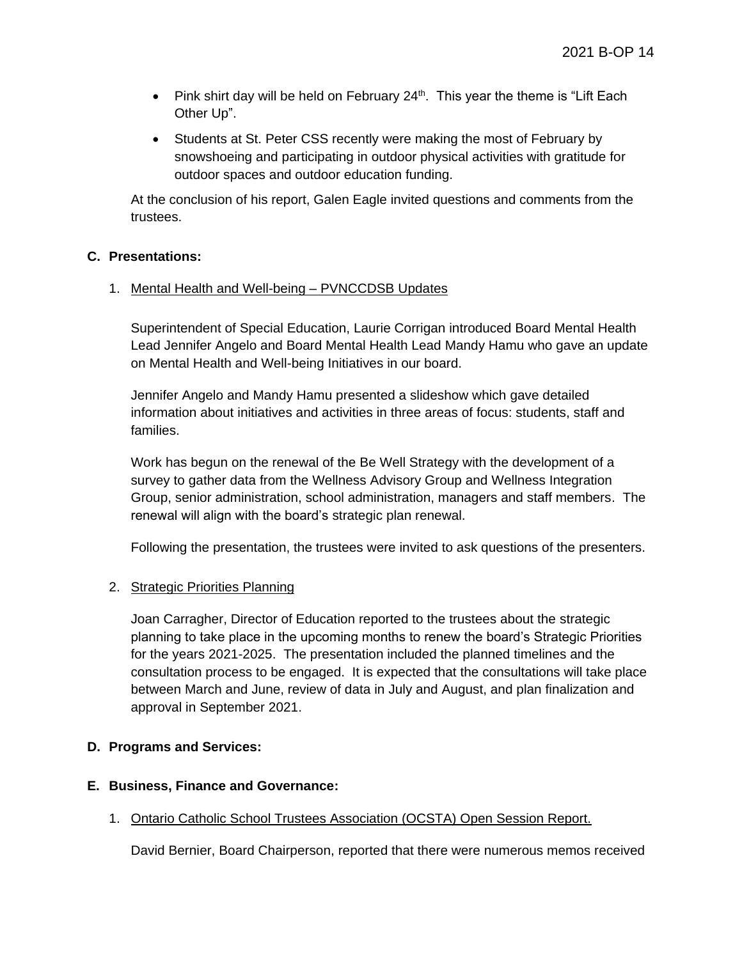- Pink shirt day will be held on February  $24<sup>th</sup>$ . This year the theme is "Lift Each Other Up".
- Students at St. Peter CSS recently were making the most of February by snowshoeing and participating in outdoor physical activities with gratitude for outdoor spaces and outdoor education funding.

At the conclusion of his report, Galen Eagle invited questions and comments from the trustees.

#### **C. Presentations:**

#### 1. Mental Health and Well-being – PVNCCDSB Updates

Superintendent of Special Education, Laurie Corrigan introduced Board Mental Health Lead Jennifer Angelo and Board Mental Health Lead Mandy Hamu who gave an update on Mental Health and Well-being Initiatives in our board.

Jennifer Angelo and Mandy Hamu presented a slideshow which gave detailed information about initiatives and activities in three areas of focus: students, staff and families.

Work has begun on the renewal of the Be Well Strategy with the development of a survey to gather data from the Wellness Advisory Group and Wellness Integration Group, senior administration, school administration, managers and staff members. The renewal will align with the board's strategic plan renewal.

Following the presentation, the trustees were invited to ask questions of the presenters.

#### 2. Strategic Priorities Planning

Joan Carragher, Director of Education reported to the trustees about the strategic planning to take place in the upcoming months to renew the board's Strategic Priorities for the years 2021-2025. The presentation included the planned timelines and the consultation process to be engaged. It is expected that the consultations will take place between March and June, review of data in July and August, and plan finalization and approval in September 2021.

#### **D. Programs and Services:**

#### **E. Business, Finance and Governance:**

1. Ontario Catholic School Trustees Association (OCSTA) Open Session Report.

David Bernier, Board Chairperson, reported that there were numerous memos received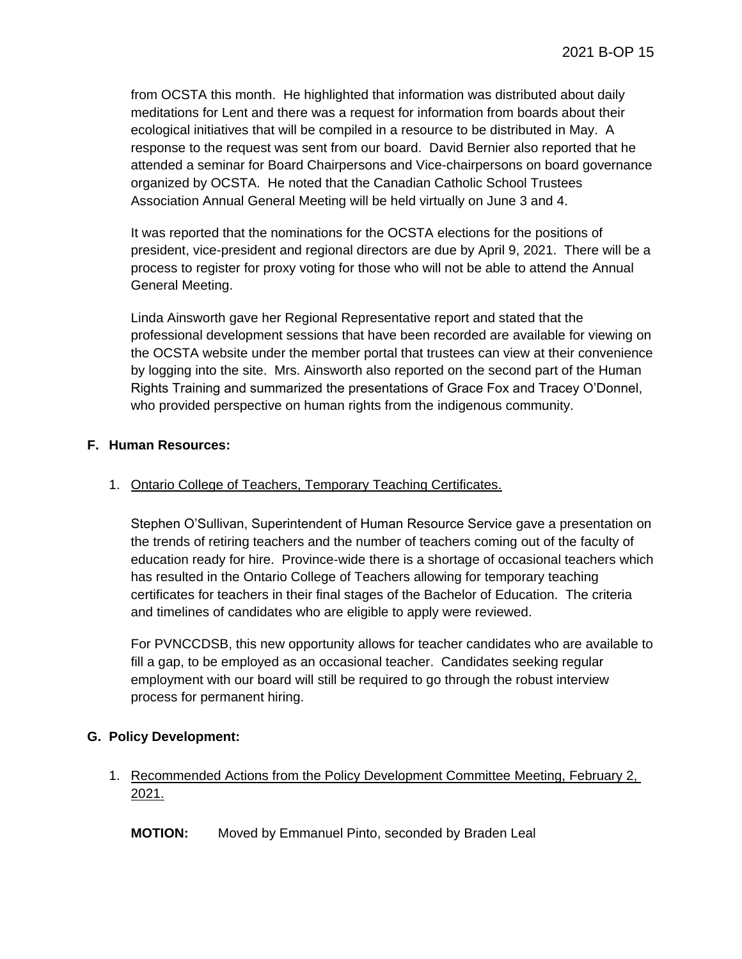from OCSTA this month. He highlighted that information was distributed about daily meditations for Lent and there was a request for information from boards about their ecological initiatives that will be compiled in a resource to be distributed in May. A response to the request was sent from our board. David Bernier also reported that he attended a seminar for Board Chairpersons and Vice-chairpersons on board governance organized by OCSTA. He noted that the Canadian Catholic School Trustees Association Annual General Meeting will be held virtually on June 3 and 4.

It was reported that the nominations for the OCSTA elections for the positions of president, vice-president and regional directors are due by April 9, 2021. There will be a process to register for proxy voting for those who will not be able to attend the Annual General Meeting.

Linda Ainsworth gave her Regional Representative report and stated that the professional development sessions that have been recorded are available for viewing on the OCSTA website under the member portal that trustees can view at their convenience by logging into the site. Mrs. Ainsworth also reported on the second part of the Human Rights Training and summarized the presentations of Grace Fox and Tracey O'Donnel, who provided perspective on human rights from the indigenous community.

#### **F. Human Resources:**

# 1. Ontario College of Teachers, Temporary Teaching Certificates.

Stephen O'Sullivan, Superintendent of Human Resource Service gave a presentation on the trends of retiring teachers and the number of teachers coming out of the faculty of education ready for hire. Province-wide there is a shortage of occasional teachers which has resulted in the Ontario College of Teachers allowing for temporary teaching certificates for teachers in their final stages of the Bachelor of Education. The criteria and timelines of candidates who are eligible to apply were reviewed.

For PVNCCDSB, this new opportunity allows for teacher candidates who are available to fill a gap, to be employed as an occasional teacher. Candidates seeking regular employment with our board will still be required to go through the robust interview process for permanent hiring.

# **G. Policy Development:**

# 1. Recommended Actions from the Policy Development Committee Meeting, February 2, 2021.

**MOTION:** Moved by Emmanuel Pinto, seconded by Braden Leal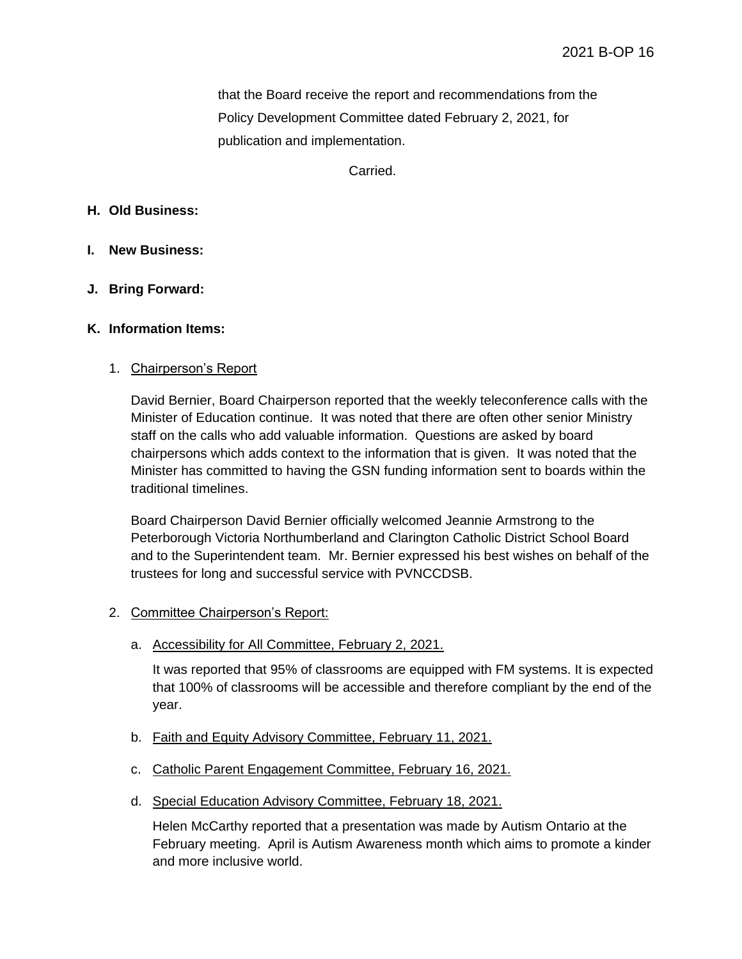that the Board receive the report and recommendations from the Policy Development Committee dated February 2, 2021, for publication and implementation.

Carried.

#### **H. Old Business:**

- **I. New Business:**
- **J. Bring Forward:**

#### **K. Information Items:**

#### 1. Chairperson's Report

David Bernier, Board Chairperson reported that the weekly teleconference calls with the Minister of Education continue. It was noted that there are often other senior Ministry staff on the calls who add valuable information. Questions are asked by board chairpersons which adds context to the information that is given. It was noted that the Minister has committed to having the GSN funding information sent to boards within the traditional timelines.

Board Chairperson David Bernier officially welcomed Jeannie Armstrong to the Peterborough Victoria Northumberland and Clarington Catholic District School Board and to the Superintendent team. Mr. Bernier expressed his best wishes on behalf of the trustees for long and successful service with PVNCCDSB.

#### 2. Committee Chairperson's Report:

a. Accessibility for All Committee, February 2, 2021.

It was reported that 95% of classrooms are equipped with FM systems. It is expected that 100% of classrooms will be accessible and therefore compliant by the end of the year.

- b. Faith and Equity Advisory Committee, February 11, 2021.
- c. Catholic Parent Engagement Committee, February 16, 2021.
- d. Special Education Advisory Committee, February 18, 2021.

Helen McCarthy reported that a presentation was made by Autism Ontario at the February meeting. April is Autism Awareness month which aims to promote a kinder and more inclusive world.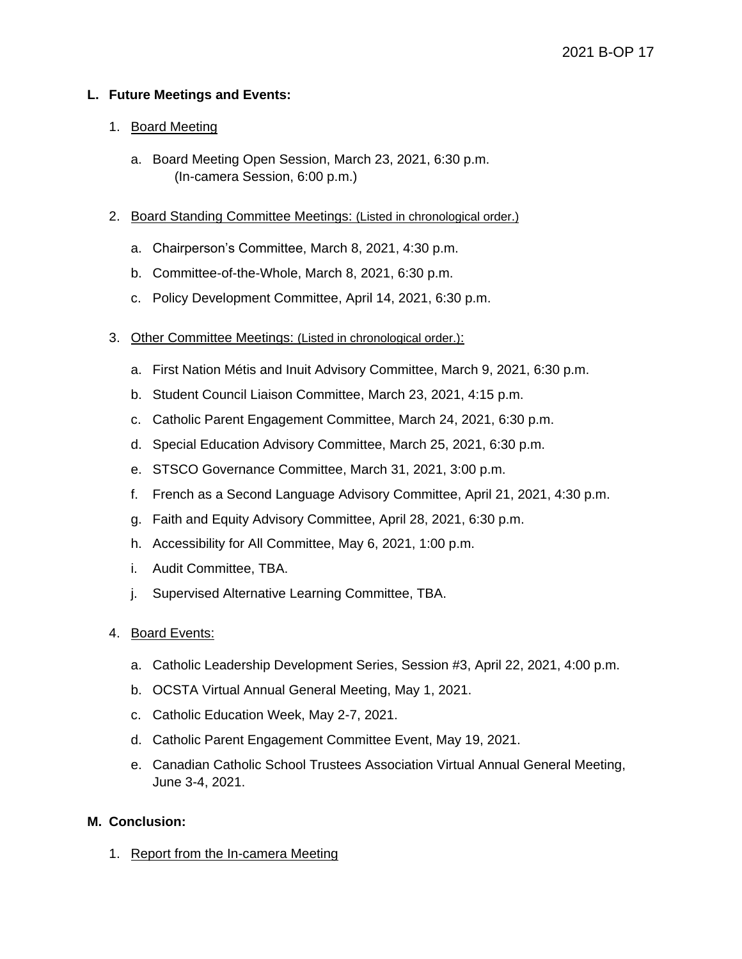#### **L. Future Meetings and Events:**

#### 1. Board Meeting

- a. Board Meeting Open Session, March 23, 2021, 6:30 p.m. (In-camera Session, 6:00 p.m.)
- 2. Board Standing Committee Meetings: (Listed in chronological order.)
	- a. Chairperson's Committee, March 8, 2021, 4:30 p.m.
	- b. Committee-of-the-Whole, March 8, 2021, 6:30 p.m.
	- c. Policy Development Committee, April 14, 2021, 6:30 p.m.
- 3. Other Committee Meetings: (Listed in chronological order.):
	- a. First Nation Métis and Inuit Advisory Committee, March 9, 2021, 6:30 p.m.
	- b. Student Council Liaison Committee, March 23, 2021, 4:15 p.m.
	- c. Catholic Parent Engagement Committee, March 24, 2021, 6:30 p.m.
	- d. Special Education Advisory Committee, March 25, 2021, 6:30 p.m.
	- e. STSCO Governance Committee, March 31, 2021, 3:00 p.m.
	- f. French as a Second Language Advisory Committee, April 21, 2021, 4:30 p.m.
	- g. Faith and Equity Advisory Committee, April 28, 2021, 6:30 p.m.
	- h. Accessibility for All Committee, May 6, 2021, 1:00 p.m.
	- i. Audit Committee, TBA.
	- j. Supervised Alternative Learning Committee, TBA.
- 4. Board Events:
	- a. Catholic Leadership Development Series, Session #3, April 22, 2021, 4:00 p.m.
	- b. OCSTA Virtual Annual General Meeting, May 1, 2021.
	- c. Catholic Education Week, May 2-7, 2021.
	- d. Catholic Parent Engagement Committee Event, May 19, 2021.
	- e. Canadian Catholic School Trustees Association Virtual Annual General Meeting, June 3-4, 2021.

#### **M. Conclusion:**

1. Report from the In-camera Meeting